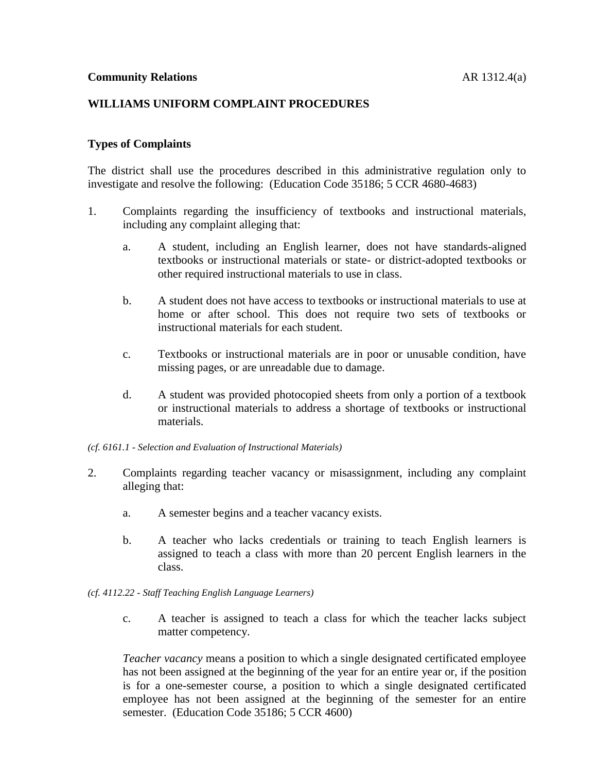## **WILLIAMS UNIFORM COMPLAINT PROCEDURES**

## **Types of Complaints**

The district shall use the procedures described in this administrative regulation only to investigate and resolve the following: (Education Code 35186; 5 CCR 4680-4683)

- 1. Complaints regarding the insufficiency of textbooks and instructional materials, including any complaint alleging that:
	- a. A student, including an English learner, does not have standards-aligned textbooks or instructional materials or state- or district-adopted textbooks or other required instructional materials to use in class.
	- b. A student does not have access to textbooks or instructional materials to use at home or after school. This does not require two sets of textbooks or instructional materials for each student.
	- c. Textbooks or instructional materials are in poor or unusable condition, have missing pages, or are unreadable due to damage.
	- d. A student was provided photocopied sheets from only a portion of a textbook or instructional materials to address a shortage of textbooks or instructional materials.

#### *(cf. 6161.1 - Selection and Evaluation of Instructional Materials)*

- 2. Complaints regarding teacher vacancy or misassignment, including any complaint alleging that:
	- a. A semester begins and a teacher vacancy exists.
	- b. A teacher who lacks credentials or training to teach English learners is assigned to teach a class with more than 20 percent English learners in the class.

#### *(cf. 4112.22 - Staff Teaching English Language Learners)*

c. A teacher is assigned to teach a class for which the teacher lacks subject matter competency.

*Teacher vacancy* means a position to which a single designated certificated employee has not been assigned at the beginning of the year for an entire year or, if the position is for a one-semester course, a position to which a single designated certificated employee has not been assigned at the beginning of the semester for an entire semester. (Education Code 35186; 5 CCR 4600)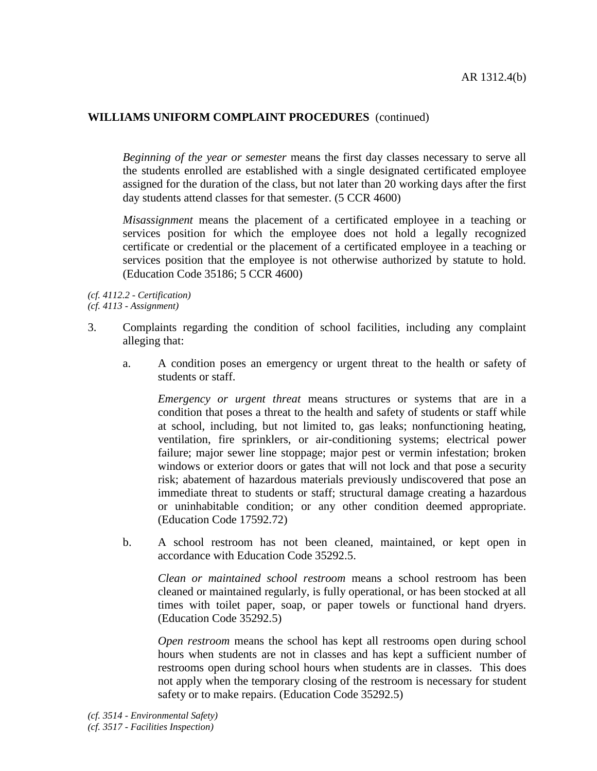*Beginning of the year or semester* means the first day classes necessary to serve all the students enrolled are established with a single designated certificated employee assigned for the duration of the class, but not later than 20 working days after the first day students attend classes for that semester. (5 CCR 4600)

*Misassignment* means the placement of a certificated employee in a teaching or services position for which the employee does not hold a legally recognized certificate or credential or the placement of a certificated employee in a teaching or services position that the employee is not otherwise authorized by statute to hold. (Education Code 35186; 5 CCR 4600)

*(cf. 4112.2 - Certification) (cf. 4113 - Assignment)*

- 3. Complaints regarding the condition of school facilities, including any complaint alleging that:
	- a. A condition poses an emergency or urgent threat to the health or safety of students or staff.

*Emergency or urgent threat* means structures or systems that are in a condition that poses a threat to the health and safety of students or staff while at school, including, but not limited to, gas leaks; nonfunctioning heating, ventilation, fire sprinklers, or air-conditioning systems; electrical power failure; major sewer line stoppage; major pest or vermin infestation; broken windows or exterior doors or gates that will not lock and that pose a security risk; abatement of hazardous materials previously undiscovered that pose an immediate threat to students or staff; structural damage creating a hazardous or uninhabitable condition; or any other condition deemed appropriate. (Education Code 17592.72)

b. A school restroom has not been cleaned, maintained, or kept open in accordance with Education Code 35292.5.

*Clean or maintained school restroom* means a school restroom has been cleaned or maintained regularly, is fully operational, or has been stocked at all times with toilet paper, soap, or paper towels or functional hand dryers. (Education Code 35292.5)

*Open restroom* means the school has kept all restrooms open during school hours when students are not in classes and has kept a sufficient number of restrooms open during school hours when students are in classes. This does not apply when the temporary closing of the restroom is necessary for student safety or to make repairs. (Education Code 35292.5)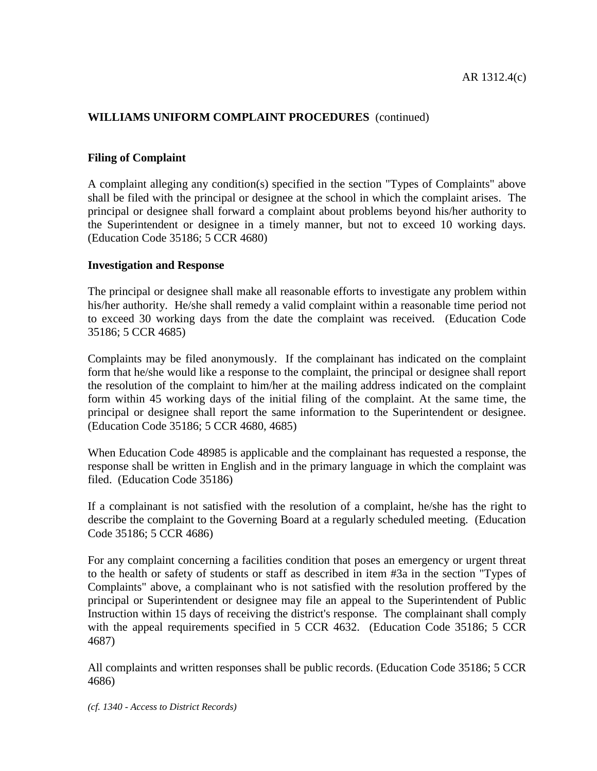## **Filing of Complaint**

A complaint alleging any condition(s) specified in the section "Types of Complaints" above shall be filed with the principal or designee at the school in which the complaint arises. The principal or designee shall forward a complaint about problems beyond his/her authority to the Superintendent or designee in a timely manner, but not to exceed 10 working days. (Education Code 35186; 5 CCR 4680)

## **Investigation and Response**

The principal or designee shall make all reasonable efforts to investigate any problem within his/her authority. He/she shall remedy a valid complaint within a reasonable time period not to exceed 30 working days from the date the complaint was received. (Education Code 35186; 5 CCR 4685)

Complaints may be filed anonymously. If the complainant has indicated on the complaint form that he/she would like a response to the complaint, the principal or designee shall report the resolution of the complaint to him/her at the mailing address indicated on the complaint form within 45 working days of the initial filing of the complaint. At the same time, the principal or designee shall report the same information to the Superintendent or designee. (Education Code 35186; 5 CCR 4680, 4685)

When Education Code 48985 is applicable and the complainant has requested a response, the response shall be written in English and in the primary language in which the complaint was filed. (Education Code 35186)

If a complainant is not satisfied with the resolution of a complaint, he/she has the right to describe the complaint to the Governing Board at a regularly scheduled meeting. (Education Code 35186; 5 CCR 4686)

For any complaint concerning a facilities condition that poses an emergency or urgent threat to the health or safety of students or staff as described in item #3a in the section "Types of Complaints" above, a complainant who is not satisfied with the resolution proffered by the principal or Superintendent or designee may file an appeal to the Superintendent of Public Instruction within 15 days of receiving the district's response. The complainant shall comply with the appeal requirements specified in 5 CCR 4632. (Education Code 35186; 5 CCR 4687)

All complaints and written responses shall be public records. (Education Code 35186; 5 CCR 4686)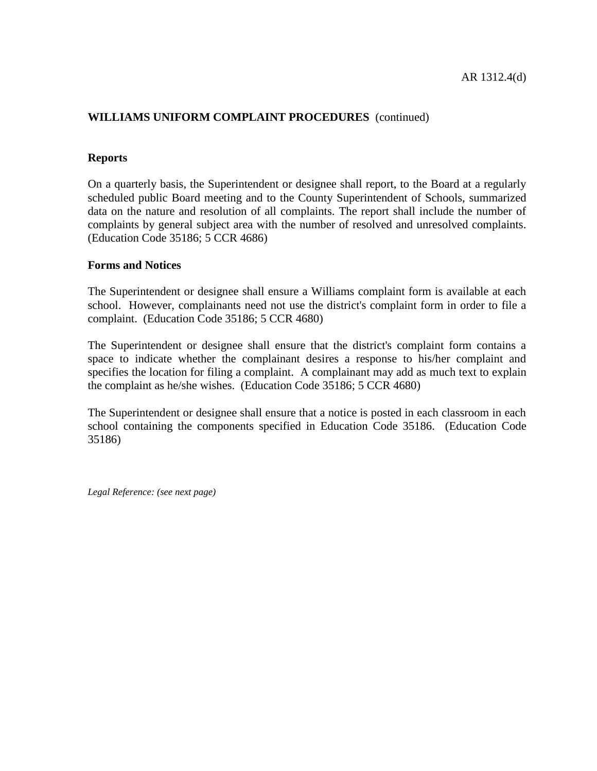### **Reports**

On a quarterly basis, the Superintendent or designee shall report, to the Board at a regularly scheduled public Board meeting and to the County Superintendent of Schools, summarized data on the nature and resolution of all complaints. The report shall include the number of complaints by general subject area with the number of resolved and unresolved complaints. (Education Code 35186; 5 CCR 4686)

### **Forms and Notices**

The Superintendent or designee shall ensure a Williams complaint form is available at each school. However, complainants need not use the district's complaint form in order to file a complaint. (Education Code 35186; 5 CCR 4680)

The Superintendent or designee shall ensure that the district's complaint form contains a space to indicate whether the complainant desires a response to his/her complaint and specifies the location for filing a complaint. A complainant may add as much text to explain the complaint as he/she wishes. (Education Code 35186; 5 CCR 4680)

The Superintendent or designee shall ensure that a notice is posted in each classroom in each school containing the components specified in Education Code 35186. (Education Code 35186)

*Legal Reference: (see next page)*